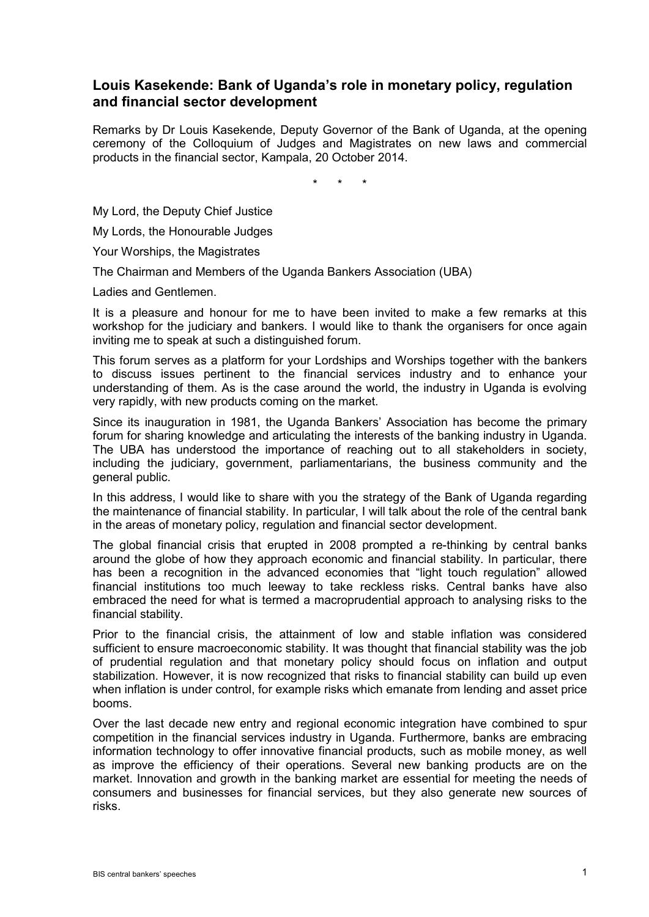## **Louis Kasekende: Bank of Uganda's role in monetary policy, regulation and financial sector development**

Remarks by Dr Louis Kasekende, Deputy Governor of the Bank of Uganda, at the opening ceremony of the Colloquium of Judges and Magistrates on new laws and commercial products in the financial sector, Kampala, 20 October 2014.

\* \* \*

My Lord, the Deputy Chief Justice

My Lords, the Honourable Judges

Your Worships, the Magistrates

The Chairman and Members of the Uganda Bankers Association (UBA)

Ladies and Gentlemen.

It is a pleasure and honour for me to have been invited to make a few remarks at this workshop for the judiciary and bankers. I would like to thank the organisers for once again inviting me to speak at such a distinguished forum.

This forum serves as a platform for your Lordships and Worships together with the bankers to discuss issues pertinent to the financial services industry and to enhance your understanding of them. As is the case around the world, the industry in Uganda is evolving very rapidly, with new products coming on the market.

Since its inauguration in 1981, the Uganda Bankers' Association has become the primary forum for sharing knowledge and articulating the interests of the banking industry in Uganda. The UBA has understood the importance of reaching out to all stakeholders in society, including the judiciary, government, parliamentarians, the business community and the general public.

In this address, I would like to share with you the strategy of the Bank of Uganda regarding the maintenance of financial stability. In particular, I will talk about the role of the central bank in the areas of monetary policy, regulation and financial sector development.

The global financial crisis that erupted in 2008 prompted a re-thinking by central banks around the globe of how they approach economic and financial stability. In particular, there has been a recognition in the advanced economies that "light touch regulation" allowed financial institutions too much leeway to take reckless risks. Central banks have also embraced the need for what is termed a macroprudential approach to analysing risks to the financial stability.

Prior to the financial crisis, the attainment of low and stable inflation was considered sufficient to ensure macroeconomic stability. It was thought that financial stability was the job of prudential regulation and that monetary policy should focus on inflation and output stabilization. However, it is now recognized that risks to financial stability can build up even when inflation is under control, for example risks which emanate from lending and asset price booms.

Over the last decade new entry and regional economic integration have combined to spur competition in the financial services industry in Uganda. Furthermore, banks are embracing information technology to offer innovative financial products, such as mobile money, as well as improve the efficiency of their operations. Several new banking products are on the market. Innovation and growth in the banking market are essential for meeting the needs of consumers and businesses for financial services, but they also generate new sources of risks.